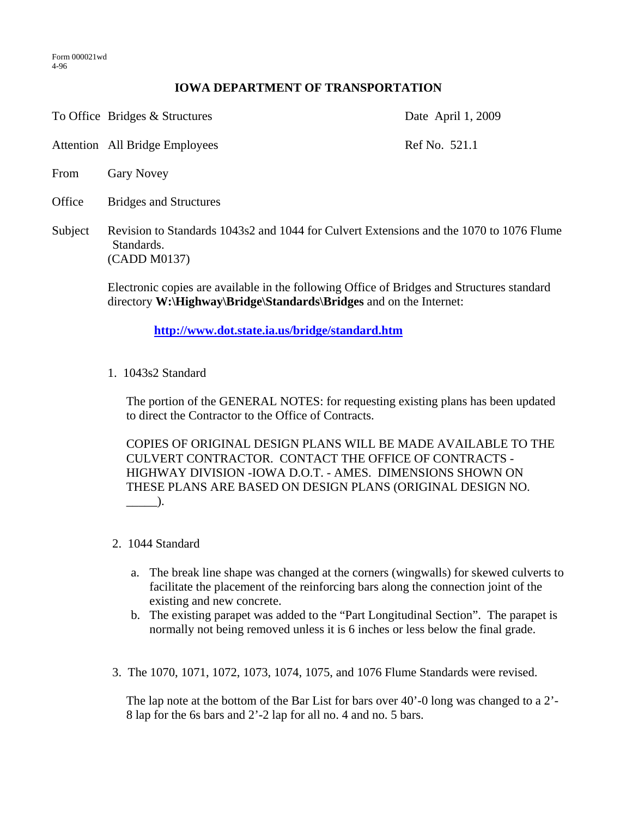## **IOWA DEPARTMENT OF TRANSPORTATION**

To Office Bridges & Structures Date April 1, 2009

Attention All Bridge Employees Ref No. 521.1

- From Gary Novey
- Office Bridges and Structures
- Subject Revision to Standards 1043s2 and 1044 for Culvert Extensions and the 1070 to 1076 Flume Standards. (CADD M0137)

Electronic copies are available in the following Office of Bridges and Structures standard directory **W:\Highway\Bridge\Standards\Bridges** and on the Internet:

**http://www.dot.state.ia.us/bridge/standard.htm**

1. 1043s2 Standard

The portion of the GENERAL NOTES: for requesting existing plans has been updated to direct the Contractor to the Office of Contracts.

 COPIES OF ORIGINAL DESIGN PLANS WILL BE MADE AVAILABLE TO THE CULVERT CONTRACTOR. CONTACT THE OFFICE OF CONTRACTS - HIGHWAY DIVISION -IOWA D.O.T. - AMES. DIMENSIONS SHOWN ON THESE PLANS ARE BASED ON DESIGN PLANS (ORIGINAL DESIGN NO.  $\Box$ ).

- 2. 1044 Standard
	- a. The break line shape was changed at the corners (wingwalls) for skewed culverts to facilitate the placement of the reinforcing bars along the connection joint of the existing and new concrete.
	- b. The existing parapet was added to the "Part Longitudinal Section". The parapet is normally not being removed unless it is 6 inches or less below the final grade.
- 3. The 1070, 1071, 1072, 1073, 1074, 1075, and 1076 Flume Standards were revised.

The lap note at the bottom of the Bar List for bars over 40'-0 long was changed to a 2'- 8 lap for the 6s bars and 2'-2 lap for all no. 4 and no. 5 bars.